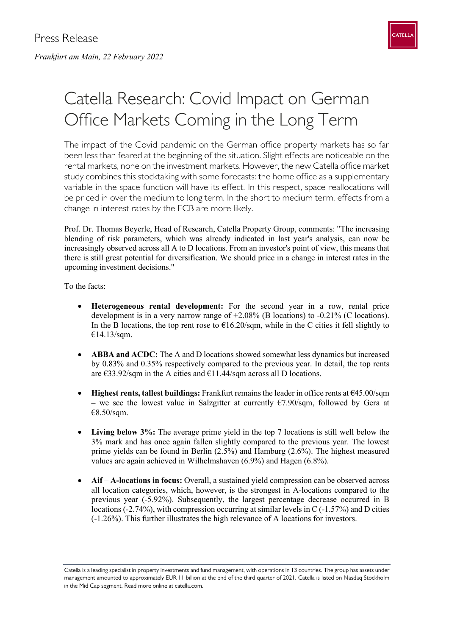

## Catella Research: Covid Impact on German Office Markets Coming in the Long Term

The impact of the Covid pandemic on the German office property markets has so far been less than feared at the beginning of the situation. Slight effects are noticeable on the rental markets, none on the investment markets. However, the new Catella office market study combines this stocktaking with some forecasts: the home office as a supplementary variable in the space function will have its effect. In this respect, space reallocations will be priced in over the medium to long term. In the short to medium term, effects from a change in interest rates by the ECB are more likely.

Prof. Dr. Thomas Beyerle, Head of Research, Catella Property Group, comments: "The increasing blending of risk parameters, which was already indicated in last year's analysis, can now be increasingly observed across all A to D locations. From an investor's point of view, this means that there is still great potential for diversification. We should price in a change in interest rates in the upcoming investment decisions."

To the facts:

- **Heterogeneous rental development:** For the second year in a row, rental price development is in a very narrow range of +2.08% (B locations) to -0.21% (C locations). In the B locations, the top rent rose to  $\epsilon$ 16.20/sqm, while in the C cities it fell slightly to €14.13/sqm.
- **ABBA and ACDC:** The A and D locations showed somewhat less dynamics but increased by 0.83% and 0.35% respectively compared to the previous year. In detail, the top rents are  $\epsilon$ 33.92/sqm in the A cities and  $\epsilon$ 11.44/sqm across all D locations.
- **Highest rents, tallest buildings:** Frankfurt remains the leader in office rents at €45.00/sqm – we see the lowest value in Salzgitter at currently  $\epsilon$ 7.90/sqm, followed by Gera at €8.50/sqm.
- **Living below 3%:** The average prime yield in the top 7 locations is still well below the 3% mark and has once again fallen slightly compared to the previous year. The lowest prime yields can be found in Berlin (2.5%) and Hamburg (2.6%). The highest measured values are again achieved in Wilhelmshaven (6.9%) and Hagen (6.8%).
- **Aif A-locations in focus:** Overall, a sustained yield compression can be observed across all location categories, which, however, is the strongest in A-locations compared to the previous year (-5.92%). Subsequently, the largest percentage decrease occurred in B locations (-2.74%), with compression occurring at similar levels in C (-1.57%) and D cities (-1.26%). This further illustrates the high relevance of A locations for investors.

Catella is a leading specialist in property investments and fund management, with operations in 13 countries. The group has assets under management amounted to approximately EUR 11 billion at the end of the third quarter of 2021. Catella is listed on Nasdaq Stockholm in the Mid Cap segment. Read more online at catella.com.